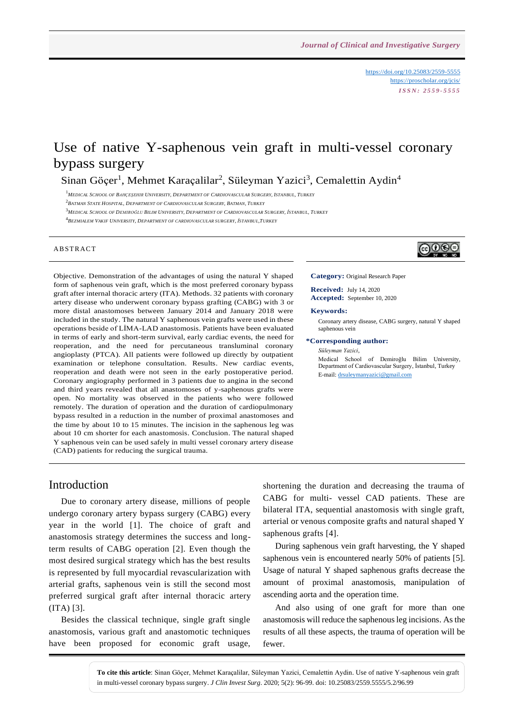<https://doi.org/10.25083/2559-5555> <https://proscholar.org/jcis/> *I S S N : 2 5 5 9 - 5 5 5 5*

# Use of native Y-saphenous vein graft in multi-vessel coronary bypass surgery

Sinan Göçer<sup>1</sup>, Mehmet Karaçalilar<sup>2</sup>, Süleyman Yazici<sup>3</sup>, Cemalettin Aydin<sup>4</sup>

<sup>1</sup>MEDICAL SCHOOL OF BAHÇEŞEHIR UNIVERSITY, DEPARTMENT OF CARDIOVASCULAR SURGERY, ISTANBUL, TURKEY

2 *BATMAN STATE HOSPITAL, DEPARTMENT OF CARDIOVASCULAR SURGERY, BATMAN, TURKEY*

<sup>3</sup>MEDICAL SCHOOL OF DEMIROĞLU BILIM UNIVERSITY, DEPARTMENT OF CARDIOVASCULAR SURGERY, İSTANBUL, TURKEY

4 *BEZMIALEM VAKIF UNIVERSITY, DEPARTMENT OF CARDIOVASCULAR SURGERY, İSTANBUL,TURKEY*

### **ABSTRACT**



# ெ⊛

**Category:** Original Research Paper **Received:** July 14, 2020

**Accepted:** September 10, 2020

#### **Keywords:**

Coronary artery disease, CABG surgery, natural Y shaped saphenous vein

### **\*Corresponding author:**

*Süleyman Yazici*, Medical School of Demiroğlu Bilim University, Department of Cardiovascular Surgery, İstanbul, Turkey E-mail[: drsuleymanyazici@gmail.com](mailto:drsuleymanyazici@gmail.com)

## Introduction

Due to coronary artery disease, millions of people undergo coronary artery bypass surgery (CABG) every year in the world [1]. The choice of graft and anastomosis strategy determines the success and longterm results of CABG operation [2]. Even though the most desired surgical strategy which has the best results is represented by full myocardial revascularization with arterial grafts, saphenous vein is still the second most preferred surgical graft after internal thoracic artery (ITA) [3].

Besides the classical technique, single graft single anastomosis, various graft and anastomotic techniques have been proposed for economic graft usage,

shortening the duration and decreasing the trauma of CABG for multi- vessel CAD patients. These are bilateral ITA, sequential anastomosis with single graft, arterial or venous composite grafts and natural shaped Y saphenous grafts [4].

During saphenous vein graft harvesting, the Y shaped saphenous vein is encountered nearly 50% of patients [5]. Usage of natural Y shaped saphenous grafts decrease the amount of proximal anastomosis, manipulation of ascending aorta and the operation time.

And also using of one graft for more than one anastomosis will reduce the saphenousleg incisions. As the results of all these aspects, the trauma of operation will be fewer.

**To cite this article**: Sinan Göçer, Mehmet Karaçalilar, Süleyman Yazici, Cemalettin Aydin. Use of native Y-saphenous vein graft in multi-vessel coronary bypass surgery. *J Clin Invest Surg*. 2020; 5(2): 96-99. doi: 10.25083/2559.5555/5.2/96.99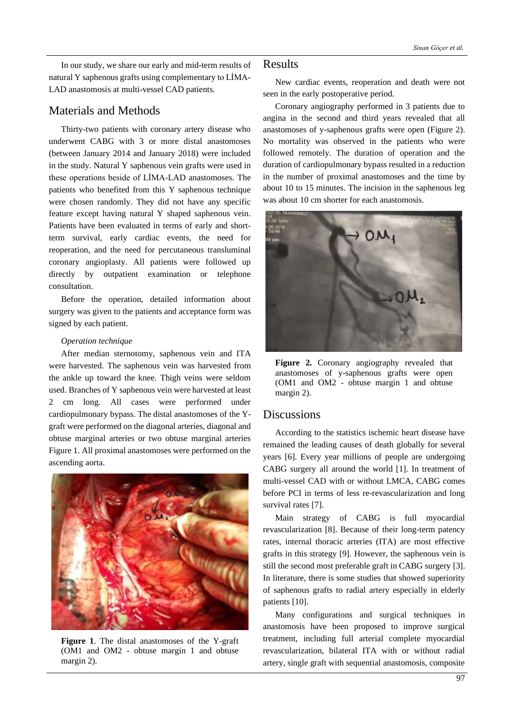In our study, we share our early and mid-term results of natural Y saphenous grafts using complementary to LİMA-LAD anastomosis at multi-vessel CAD patients.

## Materials and Methods

Thirty-two patients with coronary artery disease who underwent CABG with 3 or more distal anastomoses (between January 2014 and January 2018) were included in the study. Natural Y saphenous vein grafts were used in these operations beside of LİMA-LAD anastomoses. The patients who benefited from this Y saphenous technique were chosen randomly. They did not have any specific feature except having natural Y shaped saphenous vein. Patients have been evaluated in terms of early and shortterm survival, early cardiac events, the need for reoperation, and the need for percutaneous transluminal coronary angioplasty. All patients were followed up directly by outpatient examination or telephone consultation.

Before the operation, detailed information about surgery was given to the patients and acceptance form was signed by each patient.

## *Operation technique*

After median sternotomy, saphenous vein and ITA were harvested. The saphenous vein was harvested from the ankle up toward the knee. Thigh veins were seldom used. Branches of Y saphenous vein were harvested at least 2 cm long. All cases were performed under cardiopulmonary bypass. The distal anastomoses of the Ygraft were performed on the diagonal arteries, diagonal and obtuse marginal arteries or two obtuse marginal arteries Figure 1. All proximal anastomoses were performed on the ascending aorta.



**Figure 1**. The distal anastomoses of the Y-graft (OM1 and OM2 - obtuse margin 1 and obtuse margin 2).

## Results

New cardiac events, reoperation and death were not seen in the early postoperative period.

Coronary angiography performed in 3 patients due to angina in the second and third years revealed that all anastomoses of y-saphenous grafts were open (Figure 2). No mortality was observed in the patients who were followed remotely. The duration of operation and the duration of cardiopulmonary bypass resulted in a reduction in the number of proximal anastomoses and the time by about 10 to 15 minutes. The incision in the saphenous leg was about 10 cm shorter for each anastomosis.



**Figure 2.** Coronary angiography revealed that anastomoses of y-saphenous grafts were open (OM1 and OM2 - obtuse margin 1 and obtuse margin 2).

## Discussions

According to the statistics ischemic heart disease have remained the leading causes of death globally for several years [6]. Every year millions of people are undergoing CABG surgery all around the world [1]. In treatment of multi-vessel CAD with or without LMCA, CABG comes before PCI in terms of less re-revascularization and long survival rates [7].

Main strategy of CABG is full myocardial revascularization [8]. Because of their long-term patency rates, internal thoracic arteries (ITA) are most effective grafts in this strategy [9]. However, the saphenous vein is still the second most preferable graft in CABG surgery [3]. In literature, there is some studies that showed superiority of saphenous grafts to radial artery especially in elderly patients [10].

Many configurations and surgical techniques in anastomosis have been proposed to improve surgical treatment, including full arterial complete myocardial revascularization, bilateral ITA with or without radial artery, single graft with sequential anastomosis, composite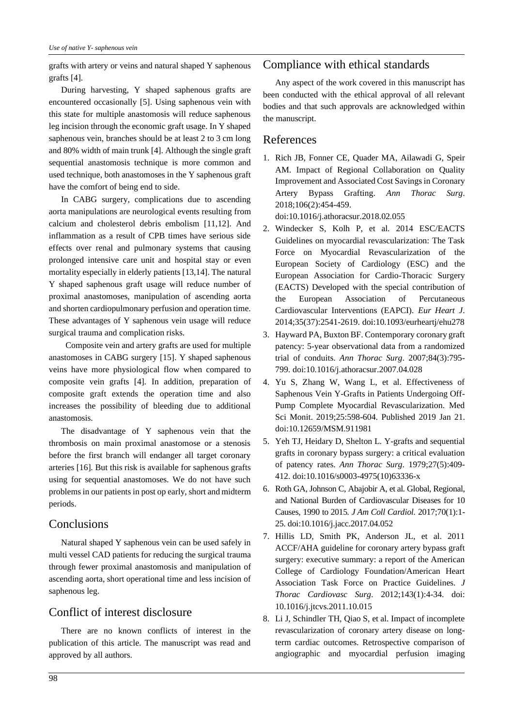grafts with artery or veins and natural shaped Y saphenous grafts [4].

During harvesting, Y shaped saphenous grafts are encountered occasionally [5]. Using saphenous vein with this state for multiple anastomosis will reduce saphenous leg incision through the economic graft usage. In Y shaped saphenous vein, branches should be at least 2 to 3 cm long and 80% width of main trunk [4]. Although the single graft sequential anastomosis technique is more common and used technique, both anastomoses in the Y saphenous graft have the comfort of being end to side.

In CABG surgery, complications due to ascending aorta manipulations are neurological events resulting from calcium and cholesterol debris embolism [11,12]. And inflammation as a result of CPB times have serious side effects over renal and pulmonary systems that causing prolonged intensive care unit and hospital stay or even mortality especially in elderly patients [13,14]. The natural Y shaped saphenous graft usage will reduce number of proximal anastomoses, manipulation of ascending aorta and shorten cardiopulmonary perfusion and operation time. These advantages of Y saphenous vein usage will reduce surgical trauma and complication risks.

 Composite vein and artery grafts are used for multiple anastomoses in CABG surgery [15]. Y shaped saphenous veins have more physiological flow when compared to composite vein grafts [4]. In addition, preparation of composite graft extends the operation time and also increases the possibility of bleeding due to additional anastomosis.

The disadvantage of Y saphenous vein that the thrombosis on main proximal anastomose or a stenosis before the first branch will endanger all target coronary arteries [16]. But this risk is available for saphenous grafts using for sequential anastomoses. We do not have such problems in our patients in post op early, short and midterm periods.

## **Conclusions**

Natural shaped Y saphenous vein can be used safely in multi vessel CAD patients for reducing the surgical trauma through fewer proximal anastomosis and manipulation of ascending aorta, short operational time and less incision of saphenous leg.

# Conflict of interest disclosure

There are no known conflicts of interest in the publication of this article. The manuscript was read and approved by all authors.

## Compliance with ethical standards

Any aspect of the work covered in this manuscript has been conducted with the ethical approval of all relevant bodies and that such approvals are acknowledged within the manuscript.

## References

1. Rich JB, Fonner CE, Quader MA, Ailawadi G, Speir AM. Impact of Regional Collaboration on Quality Improvement and Associated Cost Savings in Coronary Artery Bypass Grafting. *Ann Thorac Surg*. 2018;106(2):454-459.

doi:10.1016/j.athoracsur.2018.02.055

- 2. Windecker S, Kolh P, et al. 2014 ESC/EACTS Guidelines on myocardial revascularization: The Task Force on Myocardial Revascularization of the European Society of Cardiology (ESC) and the European Association for Cardio-Thoracic Surgery (EACTS) Developed with the special contribution of the European Association of Percutaneous Cardiovascular Interventions (EAPCI). *Eur Heart J*. 2014;35(37):2541-2619. doi:10.1093/eurheartj/ehu278
- 3. Hayward PA, Buxton BF. Contemporary coronary graft patency: 5-year observational data from a randomized trial of conduits. *Ann Thorac Surg*. 2007;84(3):795- 799. doi:10.1016/j.athoracsur.2007.04.028
- 4. Yu S, Zhang W, Wang L, et al. Effectiveness of Saphenous Vein Y-Grafts in Patients Undergoing Off-Pump Complete Myocardial Revascularization. Med Sci Monit. 2019;25:598-604. Published 2019 Jan 21. doi:10.12659/MSM.911981
- 5. Yeh TJ, Heidary D, Shelton L. Y-grafts and sequential grafts in coronary bypass surgery: a critical evaluation of patency rates. *Ann Thorac Surg*. 1979;27(5):409- 412. doi:10.1016/s0003-4975(10)63336-x
- 6. Roth GA, Johnson C, Abajobir A, et al. Global, Regional, and National Burden of Cardiovascular Diseases for 10 Causes, 1990 to 2015. *J Am Coll Cardiol*. 2017;70(1):1- 25. doi:10.1016/j.jacc.2017.04.052
- 7. Hillis LD, Smith PK, Anderson JL, et al. 2011 ACCF/AHA guideline for coronary artery bypass graft surgery: executive summary: a report of the American College of Cardiology Foundation/American Heart Association Task Force on Practice Guidelines. *J Thorac Cardiovasc Surg*. 2012;143(1):4-34. doi: 10.1016/j.jtcvs.2011.10.015
- 8. Li J, Schindler TH, Qiao S, et al. Impact of incomplete revascularization of coronary artery disease on longterm cardiac outcomes. Retrospective comparison of angiographic and myocardial perfusion imaging